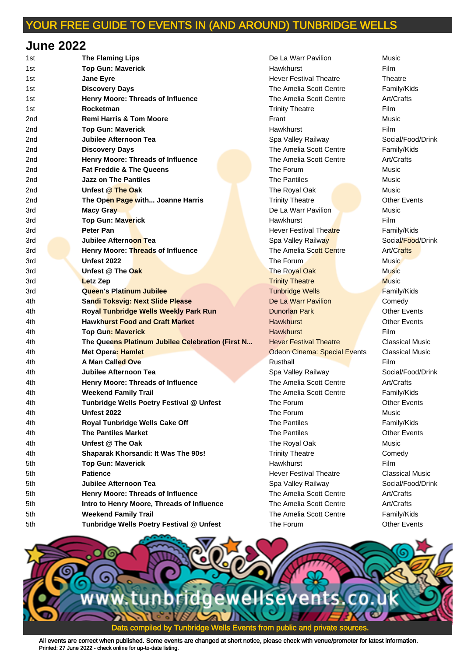#### **June 2022**

| 1st | <b>The Flaming Lips</b>                          | De La Warr Pavilion                 | Music               |
|-----|--------------------------------------------------|-------------------------------------|---------------------|
| 1st | <b>Top Gun: Maverick</b>                         | Hawkhurst                           | Film                |
| 1st | <b>Jane Eyre</b>                                 | <b>Hever Festival Theatre</b>       | Theatre             |
| 1st | <b>Discovery Days</b>                            | The Amelia Scott Centre             | Family/Kids         |
| 1st | <b>Henry Moore: Threads of Influence</b>         | The Amelia Scott Centre             | Art/Crafts          |
| 1st | Rocketman                                        | <b>Trinity Theatre</b>              | <b>Film</b>         |
| 2nd | <b>Remi Harris &amp; Tom Moore</b>               | Frant                               | Music               |
| 2nd | <b>Top Gun: Maverick</b>                         | Hawkhurst                           | Film                |
| 2nd | <b>Jubilee Afternoon Tea</b>                     | Spa Valley Railway                  | Social/Food/I       |
| 2nd | <b>Discovery Days</b>                            | The Amelia Scott Centre             | Family/Kids         |
| 2nd | Henry Moore: Threads of Influence                | The Amelia Scott Centre             | Art/Crafts          |
| 2nd | <b>Fat Freddie &amp; The Queens</b>              | The Forum                           | Music               |
| 2nd | <b>Jazz on The Pantiles</b>                      | <b>The Pantiles</b>                 | Music               |
| 2nd | Unfest @ The Oak                                 | The Royal Oak                       | Music               |
| 2nd | The Open Page with Joanne Harris                 | <b>Trinity Theatre</b>              | <b>Other Events</b> |
| 3rd | Macy Gray                                        | De La Warr Pavilion                 | Music               |
| 3rd | <b>Top Gun: Maverick</b>                         | Hawkhurst                           | <b>Film</b>         |
| 3rd | <b>Peter Pan</b>                                 | <b>Hever Festival Theatre</b>       | Family/Kids         |
| 3rd | Jubilee Afternoon Tea                            | Spa Valley Railway                  | Social/Food/I       |
| 3rd | Henry Moore: Threads of Influence                | The Amelia Scott Centre             | Art/Crafts          |
| 3rd | <b>Unfest 2022</b>                               | The Forum                           | Music               |
| 3rd | Unfest @ The Oak                                 | The Royal Oak                       | <b>Music</b>        |
| 3rd | <b>Letz Zep</b>                                  | <b>Trinity Theatre</b>              | <b>Music</b>        |
| 3rd | <b>Queen's Platinum Jubilee</b>                  | <b>Tunbridge Wells</b>              | Family/Kids         |
| 4th | <b>Sandi Toksvig: Next Slide Please</b>          | De La Warr Pavilion                 | Comedy              |
| 4th | <b>Royal Tunbridge Wells Weekly Park Run</b>     | <b>Dunorlan Park</b>                | <b>Other Events</b> |
| 4th | <b>Hawkhurst Food and Craft Market</b>           | <b>Hawkhurst</b>                    | <b>Other Events</b> |
| 4th | <b>Top Gun: Maverick</b>                         | <b>Hawkhurst</b>                    | Film                |
| 4th | The Queens Platinum Jubilee Celebration (First N | <b>Hever Festival Theatre</b>       | Classical Mu        |
| 4th | <b>Met Opera: Hamlet</b>                         | <b>Odeon Cinema: Special Events</b> | Classical Mus       |
| 4th | A Man Called Ove                                 | Rusthall                            | Film                |
| 4th | Jubilee Afternoon Tea                            | Spa Valley Railway                  | Social/Food/I       |
| 4th | Henry Moore: Threads of Influence                | The Amelia Scott Centre             | Art/Crafts          |
| 4th | <b>Weekend Family Trail</b>                      | The Amelia Scott Centre             | Family/Kids         |
| 4th | Tunbridge Wells Poetry Festival @ Unfest         | The Forum                           | <b>Other Events</b> |
| 4th | <b>Unfest 2022</b>                               | The Forum                           | Music               |
| 4th | Royal Tunbridge Wells Cake Off                   | The Pantiles                        | Family/Kids         |
| 4th | <b>The Pantiles Market</b>                       | The Pantiles                        | <b>Other Events</b> |
|     | Unfest @ The Oak                                 |                                     |                     |
| 4th |                                                  | The Royal Oak                       | Music               |
| 4th | Shaparak Khorsandi: It Was The 90s!              | <b>Trinity Theatre</b>              | Comedy              |
| 5th | <b>Top Gun: Maverick</b>                         | Hawkhurst                           | Film                |
| 5th | <b>Patience</b>                                  | <b>Hever Festival Theatre</b>       | Classical Mus       |
| 5th | <b>Jubilee Afternoon Tea</b>                     | Spa Valley Railway                  | Social/Food/I       |
| 5th | Henry Moore: Threads of Influence                | The Amelia Scott Centre             | Art/Crafts          |
| 5th | Intro to Henry Moore, Threads of Influence       | The Amelia Scott Centre             | Art/Crafts          |
| 5th | <b>Weekend Family Trail</b>                      | The Amelia Scott Centre             | Family/Kids         |
| 5th | Tunbridge Wells Poetry Festival @ Unfest         | The Forum                           | <b>Other Events</b> |

1st **The Flaming Lips** De La Warr Pavilion Music **Hever Festival Theatre Theatre Theatre** The Amelia Scott Centre Family/Kids The Amelia Scott Centre **Art/Crafts 1.15 Trinity Theatre Film** Spa Valley Railway **Social/Food/Drink** The Amelia Scott Centre Family/Kids **2** The Amelia Scott Centre **Art/Crafts 2nd The Royal Oak Music 2** Trinity Theatre **Page 2016** Other Events **De La Warr Pavilion Music** Hever Festival Theatre Family/Kids **Spa Valley Railway Social/Food/Drink** The Amelia Scott Centre **Art/Crafts 37 The Royal Oak The Property Confession Control 318 Trinity Theatre Music Music Tunbridge Wells Family/Kids De La Warr Pavilion Comedy Hever Festival Theatre Classical Music Odeon Cinema: Special Events Classical Music** Spa Valley Railway **Social/Food/Drink** The Amelia Scott Centre **Art/Crafts** The Amelia Scott Centre Family/Kids 4th **Unfest @ The Oak** The Royal Oak Music **Trinity Theatre Comedy** 5th **Patience** Hever Festival Theatre Classical Music Spa Valley Railway **Social/Food/Drink** The Amelia Scott Centre **Art/Crafts** The Amelia Scott Centre **Influence** Art/Crafts The Amelia Scott Centre Family/Kids

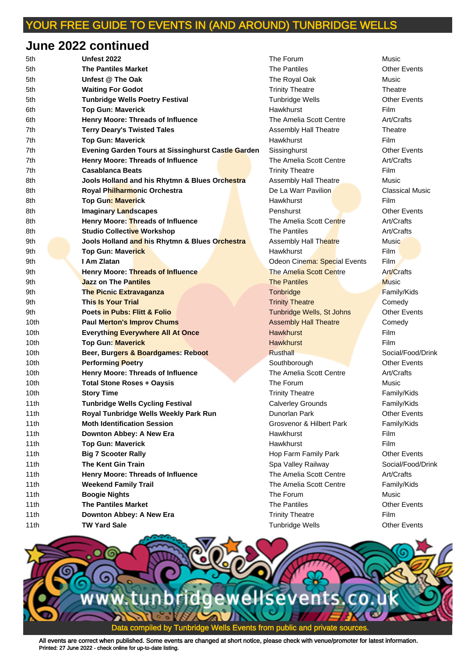## **June 2022 continued**

| 5th  | Unfest 2022                                               | The Forum                    | Music               |
|------|-----------------------------------------------------------|------------------------------|---------------------|
| 5th  | <b>The Pantiles Market</b>                                | <b>The Pantiles</b>          | <b>Other Events</b> |
| 5th  | Unfest @ The Oak                                          | The Royal Oak                | Music               |
| 5th  | <b>Waiting For Godot</b>                                  | <b>Trinity Theatre</b>       | Theatre             |
| 5th  | <b>Tunbridge Wells Poetry Festival</b>                    | Tunbridge Wells              | <b>Other Events</b> |
| 6th  | <b>Top Gun: Maverick</b>                                  | <b>Hawkhurst</b>             | <b>Film</b>         |
| 6th  | <b>Henry Moore: Threads of Influence</b>                  | The Amelia Scott Centre      | Art/Crafts          |
| 7th  | <b>Terry Deary's Twisted Tales</b>                        | Assembly Hall Theatre        | Theatre             |
| 7th  | <b>Top Gun: Maverick</b>                                  | <b>Hawkhurst</b>             | Film                |
| 7th  | <b>Evening Garden Tours at Sissinghurst Castle Garden</b> | Sissinghurst                 | <b>Other Events</b> |
| 7th  | <b>Henry Moore: Threads of Influence</b>                  | The Amelia Scott Centre      | Art/Crafts          |
| 7th  | <b>Casablanca Beats</b>                                   | <b>Trinity Theatre</b>       | <b>Film</b>         |
| 8th  | Jools Holland and his Rhytmn & Blues Orchestra            | Assembly Hall Theatre        | Music               |
| 8th  | Royal Philharmonic Orchestra                              | De La Warr Pavilion          | Classical Mus       |
| 8th  | <b>Top Gun: Maverick</b>                                  | Hawkhurst                    | <b>Film</b>         |
| 8th  | <b>Imaginary Landscapes</b>                               | Penshurst                    | <b>Other Events</b> |
| 8th  | Henry Moore: Threads of Influence                         | The Amelia Scott Centre      | Art/Crafts          |
| 8th  | <b>Studio Collective Workshop</b>                         | The Pantiles                 | Art/Crafts          |
| 9th  | Jools Holland and his Rhytmn & Blues Orchestra            | Assembly Hall Theatre        | <b>Music</b>        |
| 9th  | <b>Top Gun: Maverick</b>                                  | Hawkhurst                    | Film                |
| 9th  | I Am Zlatan                                               | Odeon Cinema: Special Events | <b>Film</b>         |
| 9th  | Henry Moore: Threads of Influence                         | The Amelia Scott Centre      | Art/Crafts          |
| 9th  | <b>Jazz on The Pantiles</b>                               | <b>The Pantiles</b>          | <b>Music</b>        |
| 9th  | <b>The Picnic Extravaganza</b>                            | Tonbridge                    | Family/Kids         |
| 9th  | <b>This Is Your Trial</b>                                 | <b>Trinity Theatre</b>       | Comedy              |
| 9th  | <b>Poets in Pubs: Flitt &amp; Folio</b>                   | Tunbridge Wells, St Johns    | <b>Other Events</b> |
| 10th | <b>Paul Merton's Improv Chums</b>                         | <b>Assembly Hall Theatre</b> | Comedy              |
| 10th | <b>Everything Everywhere All At Once</b>                  | <b>Hawkhurst</b>             | Film                |
| 10th | <b>Top Gun: Maverick</b>                                  | <b>Hawkhurst</b>             | Film                |
| 10th | Beer, Burgers & Boardgames: Reboot                        | <b>Rusthall</b>              | Social/Food/I       |
| 10th | <b>Performing Poetry</b>                                  | Southborough                 | <b>Other Events</b> |
| 10th | <b>Henry Moore: Threads of Influence</b>                  | The Amelia Scott Centre      | Art/Crafts          |
| 10th | <b>Total Stone Roses + Oaysis</b>                         | The Forum                    | Music               |
| 10th | <b>Story Time</b>                                         | <b>Trinity Theatre</b>       | Family/Kids         |
| 11th | <b>Tunbridge Wells Cycling Festival</b>                   | <b>Calverley Grounds</b>     | Family/Kids         |
| 11th | Royal Tunbridge Wells Weekly Park Run                     | Dunorlan Park                | <b>Other Events</b> |
| 11th | <b>Moth Identification Session</b>                        | Grosvenor & Hilbert Park     | Family/Kids         |
| 11th | Downton Abbey: A New Era                                  | Hawkhurst                    | Film                |
| 11th | <b>Top Gun: Maverick</b>                                  | <b>Hawkhurst</b>             | Film                |
| 11th | <b>Big 7 Scooter Rally</b>                                | Hop Farm Family Park         | <b>Other Events</b> |
| 11th | <b>The Kent Gin Train</b>                                 | Spa Valley Railway           | Social/Food/I       |
| 11th | Henry Moore: Threads of Influence                         | The Amelia Scott Centre      | Art/Crafts          |
| 11th | <b>Weekend Family Trail</b>                               | The Amelia Scott Centre      | Family/Kids         |
| 11th | <b>Boogie Nights</b>                                      | The Forum                    | Music               |
| 11th | <b>The Pantiles Market</b>                                | The Pantiles                 | <b>Other Events</b> |
| 11th | Downton Abbey: A New Era                                  | <b>Trinity Theatre</b>       | Film                |
| 11th | <b>TW Yard Sale</b>                                       | <b>Tunbridge Wells</b>       | <b>Other Events</b> |

5th **Unfest @ The Oak** The Royal Oak Music 5th **Waiting For Godot** Trinity Theatre Theatre **Tunbridge Wells Poetry Feature Controllering Tunbridge Wells** The Amelia Scott Centre **The Antiscussi** Art/Crafts Assembly Hall Theatre Theatre The Amelia Scott Centre **Art/Crafts Trinity Theatre Film** Assembly Hall Theatre **Music Branch Royal Philharmonic Classical Music Classical Music The Amelia Scott Centre The Art/Crafts** Assembly Hall Theatre **Music** Odeon Cinema: Special Events Film **The Amelia Scott Centre The Art/Crafts Trinity Theatre Comedy Tunbridge Wells, St Johns Other Events 10th Paul Merry Assembly Hall Theatre Comedy 10th Beer, Burgers & Board Beer, Burgers & Board Beer, Burgers & Board, Burgers & Board, Burgers & Board, Burgers & Board, Burgers & Board, Burgers & Board, Burgers & Board, Burgers & Board, Burgers & Board, Burgers & Boa 10th Poetry Southborough Control Control Control Control Control Control Control Control Control Control Control Control Control Control Control Control Control Control Control Control Control Control Control Control Cont** 10th **Henry Moore: Threads of Influence** The Amelia Scott Centre Art/Crafts **Trinity Theatre Trinity Theatre Family/Kids 11th Calverley Grounds Family/Kids** 11th Dunorlan Park **Park Access Park Access** Other Events 11th **Moth Identification Session** Grosvenor & Hilbert Park Family/Kids 11th **Big 7 Scooter Rally** Hop Farm Family Park Other Events **11th Spa Valley Railway Social/Food/Drink The Amelia Scott Centre The Art/Crafts** The Amelia Scott Centre Family/Kids 11th **Downton Abbey: A New Era** Trinity Theatre Film **Tunbridge Wells Charge Tunbridge Wells** Charge Other Events

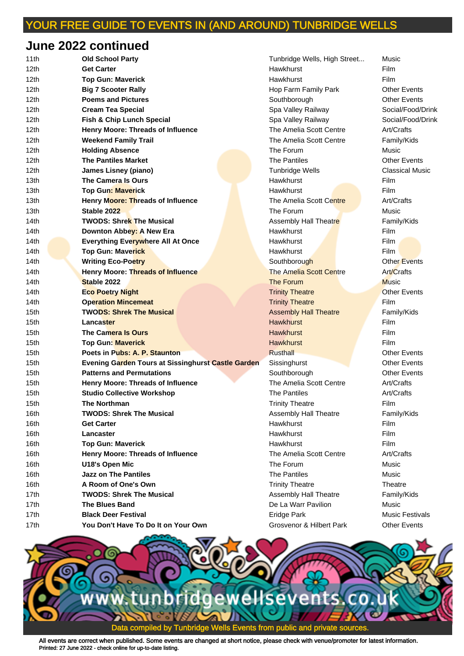## **June 2022 continued**

| 11th             | <b>Old School Party</b>                                   | Tunbridge Wells, High Street | Music                |
|------------------|-----------------------------------------------------------|------------------------------|----------------------|
| 12th             | <b>Get Carter</b>                                         | Hawkhurst                    | Film                 |
| 12th             | <b>Top Gun: Maverick</b>                                  | Hawkhurst                    | <b>Film</b>          |
| 12 <sub>th</sub> | <b>Big 7 Scooter Rally</b>                                | Hop Farm Family Park         | <b>Other Events</b>  |
| 12 <sub>th</sub> | <b>Poems and Pictures</b>                                 | Southborough                 | <b>Other Events</b>  |
| 12th             | <b>Cream Tea Special</b>                                  | Spa Valley Railway           | Social/Food/I        |
| 12 <sub>th</sub> | Fish & Chip Lunch Special                                 | Spa Valley Railway           | Social/Food/I        |
| 12 <sub>th</sub> | Henry Moore: Threads of Influence                         | The Amelia Scott Centre      | Art/Crafts           |
| 12 <sub>th</sub> | <b>Weekend Family Trail</b>                               | The Amelia Scott Centre      | Family/Kids          |
| 12 <sub>th</sub> | <b>Holding Absence</b>                                    | The Forum                    | Music                |
| 12 <sub>th</sub> | <b>The Pantiles Market</b>                                | <b>The Pantiles</b>          | <b>Other Events</b>  |
| 12th             | James Lisney (piano)                                      | <b>Tunbridge Wells</b>       | Classical Mus        |
| 13th             | The Camera Is Ours                                        | Hawkhurst                    | Film                 |
| 13th             | <b>Top Gun: Maverick</b>                                  | Hawkhurst                    | Film                 |
| 13th             | Henry Moore: Threads of Influence                         | The Amelia Scott Centre      | Art/Crafts           |
| 13th             | Stable 2022                                               | The Forum                    | Music                |
| 14th             | <b>TWODS: Shrek The Musical</b>                           | Assembly Hall Theatre        | Family/Kids          |
| 14th             | Downton Abbey: A New Era                                  | Hawkhurst                    | Film                 |
| 14 <sub>th</sub> | <b>Everything Everywhere All At Once</b>                  | Hawkhurst                    | Film                 |
| 14th             | <b>Top Gun: Maverick</b>                                  | Hawkhurst                    | Film                 |
| 14th             | <b>Writing Eco-Poetry</b>                                 | Southborough                 | <b>Other Events</b>  |
| 14th             | Henry Moore: Threads of Influence                         | The Amelia Scott Centre      | Art/Crafts           |
| 14th             | Stable 2022                                               | The Forum                    | <b>Music</b>         |
| 14th             | <b>Eco Poetry Night</b>                                   | <b>Trinity Theatre</b>       | <b>Other Events</b>  |
| 14th             | <b>Operation Mincemeat</b>                                | <b>Trinity Theatre</b>       | <b>Film</b>          |
| 15th             | <b>TWODS: Shrek The Musical</b>                           | <b>Assembly Hall Theatre</b> | Family/Kids          |
| 15th             | <b>Lancaster</b>                                          | <b>Hawkhurst</b>             | Film                 |
| 15 <sub>th</sub> | The Camera Is Ours                                        | <b>Hawkhurst</b>             | Film                 |
| 15th             | <b>Top Gun: Maverick</b>                                  | <b>Hawkhurst</b>             | Film                 |
| 15th             | Poets in Pubs: A. P. Staunton                             | <b>Rusthall</b>              | <b>Other Events</b>  |
| 15th             | <b>Evening Garden Tours at Sissinghurst Castle Garden</b> | Sissinghurst                 | <b>Other Events</b>  |
| 15th             | <b>Patterns and Permutations</b>                          | Southborough                 | <b>Other Events</b>  |
| 15th             | Henry Moore: Threads of Influence                         | The Amelia Scott Centre      | Art/Crafts           |
| 15 <sub>th</sub> | <b>Studio Collective Workshop</b>                         | <b>The Pantiles</b>          | Art/Crafts           |
| 15th             | The Northman                                              | Trinity Theatre              | Film                 |
| 16th             | <b>TWODS: Shrek The Musical</b>                           | Assembly Hall Theatre        | Family/Kids          |
| 16th             | <b>Get Carter</b>                                         | Hawkhurst                    | Film                 |
| 16th             | Lancaster                                                 | Hawkhurst                    | Film                 |
| 16th             | <b>Top Gun: Maverick</b>                                  | Hawkhurst                    | Film                 |
| 16th             | Henry Moore: Threads of Influence                         | The Amelia Scott Centre      | Art/Crafts           |
| 16th             | U18's Open Mic                                            | The Forum                    | Music                |
| 16th             | <b>Jazz on The Pantiles</b>                               | The Pantiles                 | Music                |
| 16th             | A Room of One's Own                                       | <b>Trinity Theatre</b>       | Theatre              |
| 17th             | <b>TWODS: Shrek The Musical</b>                           | Assembly Hall Theatre        | Family/Kids          |
| 17 <sub>th</sub> | <b>The Blues Band</b>                                     | De La Warr Pavilion          | Music                |
| 17th             | <b>Black Deer Festival</b>                                | Eridge Park                  | <b>Music Festiva</b> |
| 17th             | You Don't Have To Do It on Your Own                       | Grosvenor & Hilbert Park     | <b>Other Events</b>  |
|                  |                                                           |                              |                      |

**Hop Farm Family Park Charge Realty Park Charge Bondy** Park Charge **120th Poems and Pictures Southborough Contract Pressures** Other Events Spa Valley Railway **Cream Social/Food/Drink** 12th **Fish & Chip Lunch Special** Spa Valley Railway Social/Food/Drink The Amelia Scott Centre **Art/Crafts** 12th **Weekend Family Trail** The Amelia Scott Centre Family/Kids **Tunbridge Wells Classical Music The Amelia Scott Centre The Art/Crafts** Assembly Hall Theatre **Theatre Family/Kids 14th Southborough Company Southborough Company Company Company Company Company Company Company Southboard The Amelia Scott Centre The Art/Crafts 14th Trinity Theatre Community Theatre Community Theatre Other Events 14th Trinity Theatre Trinity Theatre Film 15th Assembly Hall Theatre Theatre Family/Kids 15th Participations** Southborough **Patterns** Cther Events 15th **Henry Moore: Threads of Influence** The Amelia Scott Centre Art/Crafts **15th Trinity Theatre Film** Assembly Hall Theatre Family/Kids The Amelia Scott Centre **Art/Crafts Trinity Theatre Theatre Theatre** Assembly Hall Theatre Family/Kids **17th De La Warr Pavilion Communisty De La Warr Pavilion 17th Black Deep Festivals** Eridge Park Music Festivals **17th Grosvenor & Hilbert Park Communisty Communisty Communisty Communisty** 

Tunbridge Wells, High Street... Music

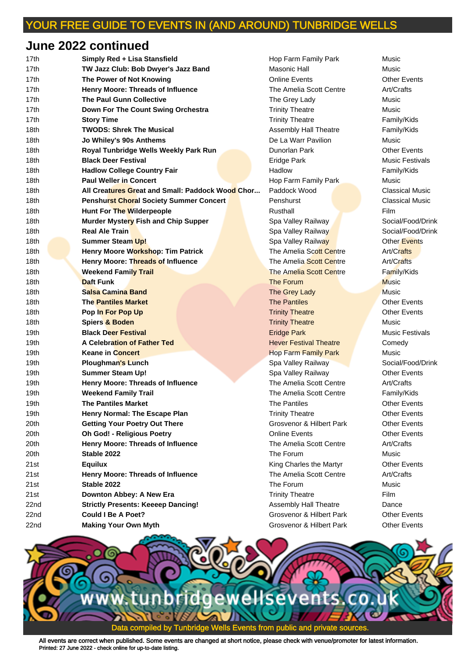## **June 2022 continued**

| 17th | Simply Red + Lisa Stansfield                     | Hop Farm Family Park          | Music                  |
|------|--------------------------------------------------|-------------------------------|------------------------|
| 17th | TW Jazz Club: Bob Dwyer's Jazz Band              | Masonic Hall                  | Music                  |
| 17th | The Power of Not Knowing                         | <b>Online Events</b>          | <b>Other Events</b>    |
| 17th | Henry Moore: Threads of Influence                | The Amelia Scott Centre       | Art/Crafts             |
| 17th | <b>The Paul Gunn Collective</b>                  | The Grey Lady                 | Music                  |
| 17th | Down For The Count Swing Orchestra               | <b>Trinity Theatre</b>        | Music                  |
| 17th | <b>Story Time</b>                                | <b>Trinity Theatre</b>        | Family/Kids            |
| 18th | <b>TWODS: Shrek The Musical</b>                  | Assembly Hall Theatre         | Family/Kids            |
| 18th | Jo Whiley's 90s Anthems                          | De La Warr Pavilion           | Music                  |
| 18th | Royal Tunbridge Wells Weekly Park Run            | Dunorlan Park                 | <b>Other Events</b>    |
| 18th | <b>Black Deer Festival</b>                       | Eridge Park                   | <b>Music Festivals</b> |
| 18th | <b>Hadlow College Country Fair</b>               | Hadlow                        | Family/Kids            |
| 18th | <b>Paul Weller in Concert</b>                    | Hop Farm Family Park          | Music                  |
| 18th | All Creatures Great and Small: Paddock Wood Chor | Paddock Wood                  | <b>Classical Music</b> |
| 18th | <b>Penshurst Choral Society Summer Concert</b>   | Penshurst                     | <b>Classical Music</b> |
| 18th | Hunt For The Wilderpeople                        | Rusthall                      | Film                   |
| 18th | Murder Mystery Fish and Chip Supper              | Spa Valley Railway            | Social/Food/Dri        |
| 18th | <b>Real Ale Train</b>                            | Spa Valley Railway            | Social/Food/Dri        |
| 18th | Summer Steam Up!                                 | Spa Valley Railway            | Other Events           |
| 18th | Henry Moore Workshop: Tim Patrick                | The Amelia Scott Centre       | Art/Crafts             |
| 18th | Henry Moore: Threads of Influence                | The Amelia Scott Centre       | Art/Crafts             |
| 18th | <b>Weekend Family Trail</b>                      | The Amelia Scott Centre       | Family/Kids            |
| 18th | <b>Daft Funk</b>                                 | The Forum                     | <b>Music</b>           |
| 18th | Salsa Camina Band                                | The Grey Lady                 | <b>Music</b>           |
| 18th | <b>The Pantiles Market</b>                       | <b>The Pantiles</b>           | <b>Other Events</b>    |
| 18th | Pop In For Pop Up                                | <b>Trinity Theatre</b>        | <b>Other Events</b>    |
| 18th | Spiers & Boden                                   | <b>Trinity Theatre</b>        | Music                  |
| 19th | <b>Black Deer Festival</b>                       | <b>Eridge Park</b>            | <b>Music Festivals</b> |
| 19th | A Celebration of Father Ted                      | <b>Hever Festival Theatre</b> | Comedy                 |
| 19th | <b>Keane in Concert</b>                          | <b>Hop Farm Family Park</b>   | Music                  |
| 19th | <b>Ploughman's Lunch</b>                         | Spa Valley Railway            | Social/Food/Dri        |
| 19th | <b>Summer Steam Up!</b>                          | Spa Valley Railway            | <b>Other Events</b>    |
| 19th | <b>Henry Moore: Threads of Influence</b>         | The Amelia Scott Centre       | Art/Crafts             |
| 19th | <b>Weekend Family Trail</b>                      | The Amelia Scott Centre       | Family/Kids            |
| 19th | <b>The Pantiles Market</b>                       | The Pantiles                  | <b>Other Events</b>    |
| 19th | Henry Normal: The Escape Plan                    | <b>Trinity Theatre</b>        | <b>Other Events</b>    |
| 20th | <b>Getting Your Poetry Out There</b>             | Grosvenor & Hilbert Park      | <b>Other Events</b>    |
| 20th | <b>Oh God! - Religious Poetry</b>                | <b>Online Events</b>          | <b>Other Events</b>    |
| 20th | Henry Moore: Threads of Influence                | The Amelia Scott Centre       | Art/Crafts             |
| 20th | Stable 2022                                      | The Forum                     | Music                  |
| 21st | <b>Equilux</b>                                   | King Charles the Martyr       | <b>Other Events</b>    |
| 21st | Henry Moore: Threads of Influence                | The Amelia Scott Centre       | Art/Crafts             |
| 21st | Stable 2022                                      | The Forum                     | Music                  |
| 21st | Downton Abbey: A New Era                         | <b>Trinity Theatre</b>        | Film                   |
| 22nd | <b>Strictly Presents: Keeeep Dancing!</b>        | Assembly Hall Theatre         | Dance                  |
| 22nd | <b>Could I Be A Poet?</b>                        | Grosvenor & Hilbert Park      | <b>Other Events</b>    |
| 22nd | <b>Making Your Own Myth</b>                      | Grosvenor & Hilbert Park      | <b>Other Events</b>    |

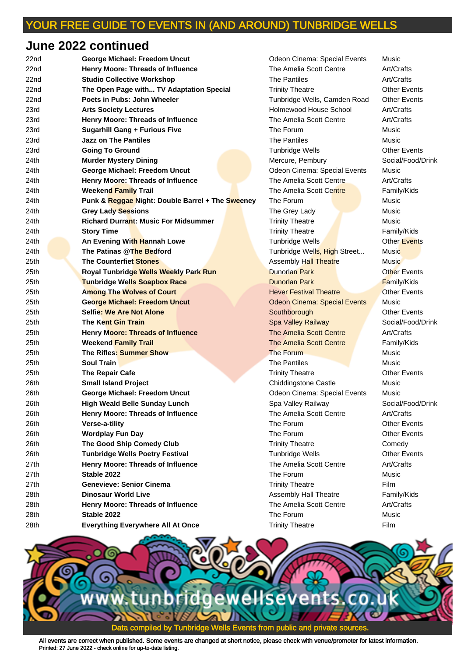## **June 2022 continued**

| 22nd | George Michael: Freedom Uncut                    | Odeon Cinema: Special Events        | Music               |
|------|--------------------------------------------------|-------------------------------------|---------------------|
| 22nd | Henry Moore: Threads of Influence                | The Amelia Scott Centre             | Art/Crafts          |
| 22nd | <b>Studio Collective Workshop</b>                | <b>The Pantiles</b>                 | Art/Crafts          |
| 22nd | The Open Page with TV Adaptation Special         | <b>Trinity Theatre</b>              | <b>Other Events</b> |
| 22nd | Poets in Pubs: John Wheeler                      | Tunbridge Wells, Camden Road        | <b>Other Events</b> |
| 23rd | <b>Arts Society Lectures</b>                     | Holmewood House School              | Art/Crafts          |
| 23rd | Henry Moore: Threads of Influence                | The Amelia Scott Centre             | Art/Crafts          |
| 23rd | <b>Sugarhill Gang + Furious Five</b>             | The Forum                           | Music               |
| 23rd | <b>Jazz on The Pantiles</b>                      | <b>The Pantiles</b>                 | Music               |
| 23rd | <b>Going To Ground</b>                           | <b>Tunbridge Wells</b>              | <b>Other Events</b> |
| 24th | <b>Murder Mystery Dining</b>                     | Mercure, Pembury                    | Social/Food/I       |
| 24th | George Michael: Freedom Uncut                    | Odeon Cinema: Special Events        | Music               |
| 24th | Henry Moore: Threads of Influence                | The Amelia Scott Centre             | Art/Crafts          |
| 24th | <b>Weekend Family Trail</b>                      | The Amelia Scott Centre             | Family/Kids         |
| 24th | Punk & Reggae Night: Double Barrel + The Sweeney | The Forum                           | Music               |
| 24th | <b>Grey Lady Sessions</b>                        | The Grey Lady                       | Music               |
| 24th | <b>Richard Durrant: Music For Midsummer</b>      | <b>Trinity Theatre</b>              | Music               |
| 24th | <b>Story Time</b>                                | <b>Trinity Theatre</b>              | Family/Kids         |
| 24th | An Evening With Hannah Lowe                      | Tunbridge Wells                     | Other Events        |
| 24th | The Patinas @The Bedford                         | Tunbridge Wells, High Street        | Music               |
| 25th | <b>The Counterfiet Stones</b>                    | <b>Assembly Hall Theatre</b>        | Music               |
| 25th | <b>Royal Tunbridge Wells Weekly Park Run</b>     | <b>Dunorlan Park</b>                | Other Events        |
| 25th | <b>Tunbridge Wells Soapbox Race</b>              | <b>Dunorlan Park</b>                | <b>Family/Kids</b>  |
| 25th | <b>Among The Wolves of Court</b>                 | <b>Hever Festival Theatre</b>       | <b>Other Events</b> |
| 25th | <b>George Michael: Freedom Uncut</b>             | <b>Odeon Cinema: Special Events</b> | Music               |
| 25th | <b>Selfie: We Are Not Alone</b>                  | Southborough                        | <b>Other Events</b> |
| 25th | <b>The Kent Gin Train</b>                        | <b>Spa Valley Railway</b>           | Social/Food/I       |
| 25th | Henry Moore: Threads of Influence                | The Amelia Scott Centre             | Art/Crafts          |
| 25th | <b>Weekend Family Trail</b>                      | The Amelia Scott Centre             | Family/Kids         |
| 25th | The Rifles: Summer Show                          | The Forum                           | Music               |
| 25th | <b>Soul Train</b>                                | The Pantiles                        | Music               |
| 25th | <b>The Repair Cafe</b>                           | <b>Trinity Theatre</b>              | <b>Other Events</b> |
| 26th | <b>Small Island Project</b>                      | Chiddingstone Castle                | Music               |
| 26th | George Michael: Freedom Uncut                    | Odeon Cinema: Special Events        | Music               |
| 26th | <b>High Weald Belle Sunday Lunch</b>             | Spa Valley Railway                  | Social/Food/I       |
| 26th | Henry Moore: Threads of Influence                | The Amelia Scott Centre             | Art/Crafts          |
| 26th | Verse-a-tility                                   | The Forum                           | <b>Other Events</b> |
| 26th | <b>Wordplay Fun Day</b>                          | The Forum                           | <b>Other Events</b> |
| 26th | The Good Ship Comedy Club                        | <b>Trinity Theatre</b>              | Comedy              |
| 26th | <b>Tunbridge Wells Poetry Festival</b>           | <b>Tunbridge Wells</b>              | <b>Other Events</b> |
| 27th | Henry Moore: Threads of Influence                | The Amelia Scott Centre             | Art/Crafts          |
| 27th | Stable 2022                                      | The Forum                           | Music               |
| 27th | <b>Genevieve: Senior Cinema</b>                  | <b>Trinity Theatre</b>              | Film                |
| 28th | <b>Dinosaur World Live</b>                       | Assembly Hall Theatre               | Family/Kids         |
| 28th | Henry Moore: Threads of Influence                | The Amelia Scott Centre             | Art/Crafts          |
| 28th | Stable 2022                                      | The Forum                           | Music               |
| 28th | <b>Everything Everywhere All At Once</b>         | <b>Trinity Theatre</b>              | Film                |

**22** The Amelia Scott Centre Art/Crafts **22** Trinity Theatre **Conducts** Other Events **Tunbridge Wells, Camden Road Other Events** 23rd **Arts Society Lectures** Holmewood House School Art/Crafts **23** The Amelia Scott Centre **Art/Crafts Tunbridge Wells Community Community** Other Events Mercure, Pembury **Communder Social/Food/Drink Odeon Cinema: Special Events Music The Amelia Scott Centre Art/Crafts 24 The Amelia Scott Centre Family/Kids 24th Grey Lady Music Music** 24th **Richard Durrant: Music For Midsummer** Trinity Theatre Music **Trinity Theatre Trinity Theatre Family/Kids 24th Ann Events** Tunbridge Wells **And An Events Tunbridge Wells, High Street... Music** Assembly Hall Theatre **Music 25th Among The World Theatre Court Among Theatre Court Events Odeon Cinema: Special Events Music 25 Southborough Community Southborough Community Community Community Community Community Community Community Community Community Community Community Community Community Community Community Community Community Community Co 25th Trainibolson Spa Valley Railway Social/Food/Drink 25th The Amelia Scott Centre Art/Crafts The Amelia Scott Centre Family/Kids 25th Pantiles Music Music Trinity Theatre Career Canadian Catalogue City Cafe** 26th **Small Island Project** Chiddingstone Castle Music **Odeon Cinema: Special Events Music** 26th **High Weald Belle Sunday Lunch** Spa Valley Railway Social/Food/Drink **The Amelia Scott Centre Art/Crafts 26th Trinity Theatre Comedy Comedy Tunbridge Wells Poetry Feature Community Community 27 The Amelia Scott Centre Art/Crafts Trinity Theatre Film** Assembly Hall Theatre **Family/Kids 28th The Amelia Scott Centre Centre Art/Crafts Trinity Theatre Example 28th Trinity Theatre Film** 

**Odeon Cinema: Special Events Music**